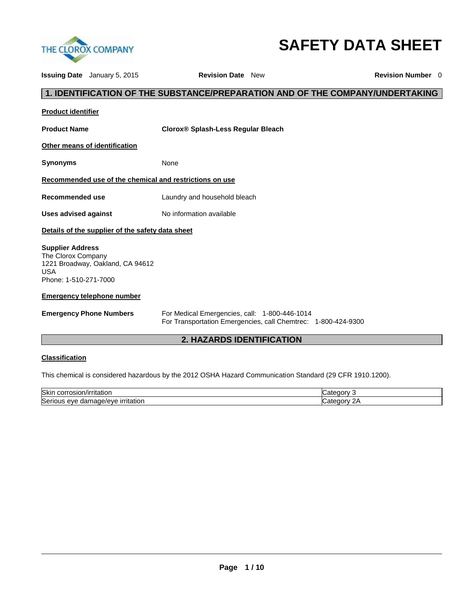

# **SAFETY DATA SHEET**

| <b>Issuing Date</b> January 5, 2015                                                                                      | <b>Revision Date New</b>                                                                                       | <b>Revision Number</b> 0 |  |
|--------------------------------------------------------------------------------------------------------------------------|----------------------------------------------------------------------------------------------------------------|--------------------------|--|
|                                                                                                                          | 1. IDENTIFICATION OF THE SUBSTANCE/PREPARATION AND OF THE COMPANY/UNDERTAKING                                  |                          |  |
| <b>Product identifier</b>                                                                                                |                                                                                                                |                          |  |
| <b>Product Name</b>                                                                                                      | <b>Clorox® Splash-Less Regular Bleach</b>                                                                      |                          |  |
| Other means of identification                                                                                            |                                                                                                                |                          |  |
| <b>Synonyms</b>                                                                                                          | None                                                                                                           |                          |  |
| Recommended use of the chemical and restrictions on use                                                                  |                                                                                                                |                          |  |
| <b>Recommended use</b>                                                                                                   | Laundry and household bleach                                                                                   |                          |  |
| <b>Uses advised against</b>                                                                                              | No information available                                                                                       |                          |  |
| Details of the supplier of the safety data sheet                                                                         |                                                                                                                |                          |  |
| <b>Supplier Address</b><br>The Clorox Company<br>1221 Broadway, Oakland, CA 94612<br><b>USA</b><br>Phone: 1-510-271-7000 |                                                                                                                |                          |  |
| <b>Emergency telephone number</b>                                                                                        |                                                                                                                |                          |  |
| <b>Emergency Phone Numbers</b>                                                                                           | For Medical Emergencies, call: 1-800-446-1014<br>For Transportation Emergencies, call Chemtrec: 1-800-424-9300 |                          |  |
| <b>2. HAZARDS IDENTIFICATION</b>                                                                                         |                                                                                                                |                          |  |
| <b>Classification</b>                                                                                                    |                                                                                                                |                          |  |

This chemical is considered hazardous by the 2012 OSHA Hazard Communication Standard (29 CFR 1910.1200).

| <b>Skin</b><br>ˈrɪtatıor<br>osion :<br>JOHT.<br>ш | norv    |
|---------------------------------------------------|---------|
| Seri<br>mage/eye<br>rıtatıor<br>eve<br>dar        | ט זר זר |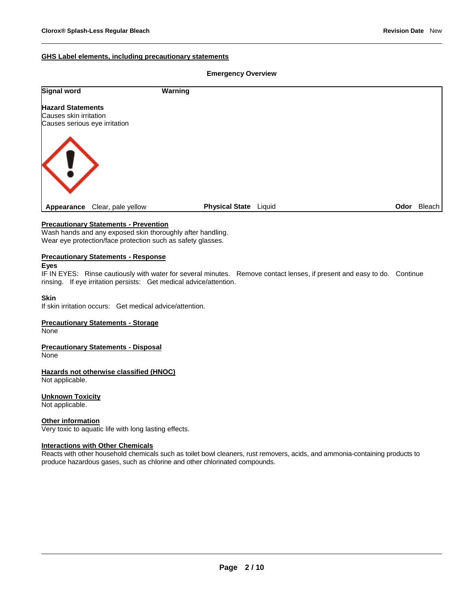# **GHS Label elements, including precautionary statements**

#### **Emergency Overview**

| Signal word                      | Warning                         |      |        |
|----------------------------------|---------------------------------|------|--------|
| <b>Hazard Statements</b>         |                                 |      |        |
| Causes skin irritation           |                                 |      |        |
| Causes serious eye irritation    |                                 |      |        |
| <b>KI</b>                        |                                 |      |        |
| Clear, pale yellow<br>Appearance | <b>Physical State</b><br>Liquid | Odor | Bleach |

# **Precautionary Statements - Prevention**

Wash hands and any exposed skin thoroughly after handling. Wear eye protection/face protection such as safety glasses.

#### **Precautionary Statements - Response**

# **Eyes**

IF IN EYES: Rinse cautiously with water for several minutes. Remove contact lenses, if present and easy to do. Continue rinsing. If eye irritation persists: Get medical advice/attention.

#### **Skin**

If skin irritation occurs: Get medical advice/attention.

# **Precautionary Statements - Storage**

**None** 

# **Precautionary Statements - Disposal**

None

#### **Hazards not otherwise classified (HNOC)** Not applicable.

# **Unknown Toxicity**

Not applicable.

# **Other information**

Very toxic to aquatic life with long lasting effects.

#### **Interactions with Other Chemicals**

Reacts with other household chemicals such as toilet bowl cleaners, rust removers, acids, and ammonia-containing products to produce hazardous gases, such as chlorine and other chlorinated compounds.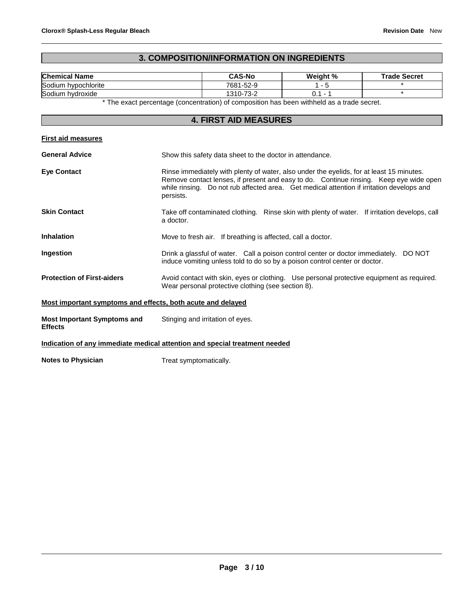# **3. COMPOSITION/INFORMATION ON INGREDIENTS**

| <b>Chemical Name</b>                                        | <b>CAS-No</b>                                                                                                                                                                                                                                                                                | Weight %  | <b>Trade Secret</b> |
|-------------------------------------------------------------|----------------------------------------------------------------------------------------------------------------------------------------------------------------------------------------------------------------------------------------------------------------------------------------------|-----------|---------------------|
| Sodium hypochlorite                                         | 7681-52-9                                                                                                                                                                                                                                                                                    | $1 - 5$   |                     |
| Sodium hydroxide                                            | 1310-73-2                                                                                                                                                                                                                                                                                    | $0.1 - 1$ | $\star$             |
|                                                             | * The exact percentage (concentration) of composition has been withheld as a trade secret.                                                                                                                                                                                                   |           |                     |
|                                                             | <b>4. FIRST AID MEASURES</b>                                                                                                                                                                                                                                                                 |           |                     |
|                                                             |                                                                                                                                                                                                                                                                                              |           |                     |
| <b>First aid measures</b>                                   |                                                                                                                                                                                                                                                                                              |           |                     |
| <b>General Advice</b>                                       | Show this safety data sheet to the doctor in attendance.                                                                                                                                                                                                                                     |           |                     |
| <b>Eve Contact</b>                                          | Rinse immediately with plenty of water, also under the eyelids, for at least 15 minutes.<br>Remove contact lenses, if present and easy to do. Continue rinsing. Keep eye wide open<br>while rinsing. Do not rub affected area. Get medical attention if irritation develops and<br>persists. |           |                     |
| <b>Skin Contact</b>                                         | Take off contaminated clothing. Rinse skin with plenty of water. If irritation develops, call<br>a doctor.                                                                                                                                                                                   |           |                     |
| <b>Inhalation</b>                                           | Move to fresh air. If breathing is affected, call a doctor.                                                                                                                                                                                                                                  |           |                     |
| Ingestion                                                   | Drink a glassful of water. Call a poison control center or doctor immediately. DO NOT<br>induce vomiting unless told to do so by a poison control center or doctor.                                                                                                                          |           |                     |
| <b>Protection of First-aiders</b>                           | Avoid contact with skin, eyes or clothing. Use personal protective equipment as required.<br>Wear personal protective clothing (see section 8).                                                                                                                                              |           |                     |
| Most important symptoms and effects, both acute and delayed |                                                                                                                                                                                                                                                                                              |           |                     |
| <b>Most Important Symptoms and</b><br><b>Effects</b>        | Stinging and irritation of eyes.                                                                                                                                                                                                                                                             |           |                     |
|                                                             | Indication of any immediate medical attention and special treatment needed                                                                                                                                                                                                                   |           |                     |
| <b>Notes to Physician</b>                                   | Treat symptomatically.                                                                                                                                                                                                                                                                       |           |                     |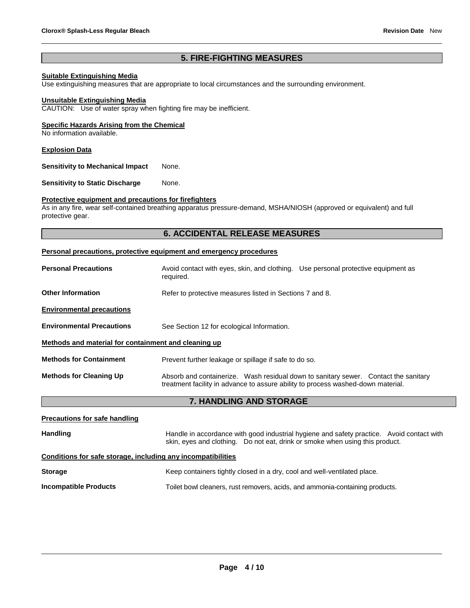# **5. FIRE-FIGHTING MEASURES**

# **Suitable Extinguishing Media**

Use extinguishing measures that are appropriate to local circumstances and the surrounding environment.

#### **Unsuitable Extinguishing Media**

CAUTION: Use of water spray when fighting fire may be inefficient.

# **Specific Hazards Arising from the Chemical**

No information available.

#### **Explosion Data**

**Sensitivity to Mechanical Impact** None.

**Sensitivity to Static Discharge Mone.** 

# **Protective equipment and precautions for firefighters**

As in any fire, wear self-contained breathing apparatus pressure-demand, MSHA/NIOSH (approved or equivalent) and full protective gear.

# **6. ACCIDENTAL RELEASE MEASURES**

#### **Personal precautions, protective equipment and emergency procedures**

| <b>Personal Precautions</b>                          | Avoid contact with eyes, skin, and clothing. Use personal protective equipment as<br>required.                                                                          |  |  |
|------------------------------------------------------|-------------------------------------------------------------------------------------------------------------------------------------------------------------------------|--|--|
| <b>Other Information</b>                             | Refer to protective measures listed in Sections 7 and 8.                                                                                                                |  |  |
| <b>Environmental precautions</b>                     |                                                                                                                                                                         |  |  |
| <b>Environmental Precautions</b>                     | See Section 12 for ecological Information.                                                                                                                              |  |  |
| Methods and material for containment and cleaning up |                                                                                                                                                                         |  |  |
| <b>Methods for Containment</b>                       | Prevent further leakage or spillage if safe to do so.                                                                                                                   |  |  |
| <b>Methods for Cleaning Up</b>                       | Absorb and containerize. Wash residual down to sanitary sewer. Contact the sanitary<br>treatment facility in advance to assure ability to process washed-down material. |  |  |

# **7. HANDLING AND STORAGE**

| <b>Precautions for safe handling</b>                         |                                                                                                                                                                           |
|--------------------------------------------------------------|---------------------------------------------------------------------------------------------------------------------------------------------------------------------------|
| <b>Handling</b>                                              | Handle in accordance with good industrial hygiene and safety practice. Avoid contact with<br>skin, eyes and clothing. Do not eat, drink or smoke when using this product. |
| Conditions for safe storage, including any incompatibilities |                                                                                                                                                                           |
| <b>Storage</b>                                               | Keep containers tightly closed in a dry, cool and well-ventilated place.                                                                                                  |
| <b>Incompatible Products</b>                                 | Toilet bowl cleaners, rust removers, acids, and ammonia-containing products.                                                                                              |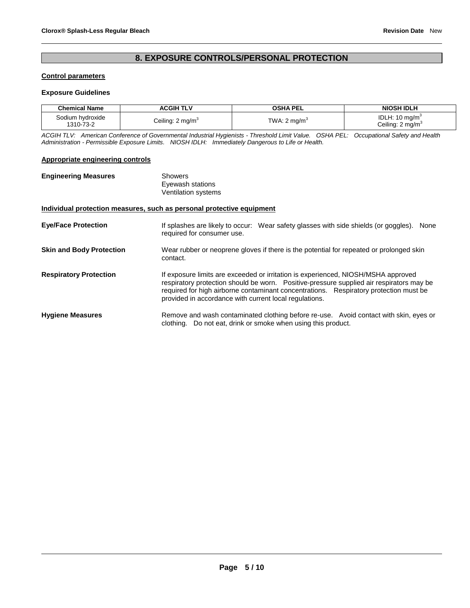# **8. EXPOSURE CONTROLS/PERSONAL PROTECTION**

# **Control parameters**

#### **Exposure Guidelines**

| <b>Chemical Name</b>          | ACGIH TLV                    | <b>OSHA PEL</b>                              | <b>NIOSH IDLH</b>                                          |
|-------------------------------|------------------------------|----------------------------------------------|------------------------------------------------------------|
| Sodium hvdroxide<br>1310-73-2 | Ceiling: 2 mg/m <sup>3</sup> | TWA: 2 ma/m <sup><math>\dot{\ }</math></sup> | IDLH: 10 mg/m <sup>3</sup><br>Ceiling: 2 mg/m <sup>3</sup> |

*ACGIH TLV: American Conference of Governmental Industrial Hygienists - Threshold Limit Value. OSHA PEL: Occupational Safety and Health Administration - Permissible Exposure Limits. NIOSH IDLH: Immediately Dangerous to Life or Health.*

#### **Appropriate engineering controls**

| <b>Engineering Measures</b> | Showers                                                               |
|-----------------------------|-----------------------------------------------------------------------|
|                             | Eyewash stations                                                      |
|                             | Ventilation systems                                                   |
|                             | Individual protection measures, such as personal protective equipment |
|                             |                                                                       |

| <b>Eye/Face Protection</b>      | If splashes are likely to occur: Wear safety glasses with side shields (or goggles).<br>None<br>required for consumer use.                                                                                                                                             |
|---------------------------------|------------------------------------------------------------------------------------------------------------------------------------------------------------------------------------------------------------------------------------------------------------------------|
| <b>Skin and Body Protection</b> | Wear rubber or neoprene gloves if there is the potential for repeated or prolonged skin<br>contact.                                                                                                                                                                    |
| <b>Respiratory Protection</b>   | If exposure limits are exceeded or irritation is experienced, NIOSH/MSHA approved<br>respiratory protection should be worn. Positive-pressure supplied air respirators may be<br>required for high airborne contaminant concentrations. Respiratory protection must be |

```
Hygiene Measures Remove and wash contaminated clothing before re-use. Avoid contact with skin, eyes or 
                     clothing. Do not eat, drink or smoke when using this product.
```
provided in accordance with current local regulations.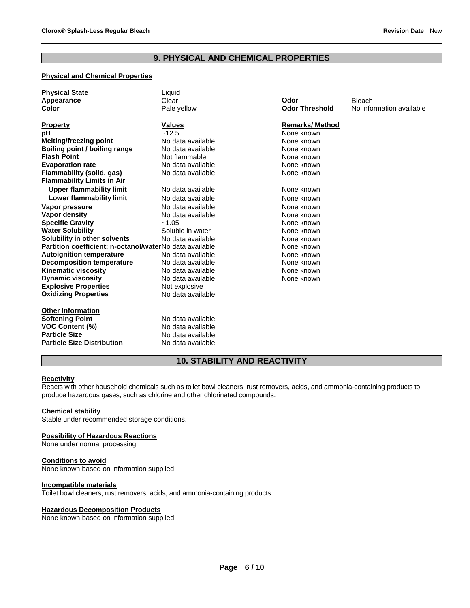# **9. PHYSICAL AND CHEMICAL PROPERTIES**

# **Physical and Chemical Properties**

| <b>Physical State</b><br>Appearance                     | Liquid<br>Clear   | Odor                  | <b>Bleach</b>            |
|---------------------------------------------------------|-------------------|-----------------------|--------------------------|
| Color                                                   |                   | <b>Odor Threshold</b> | No information available |
|                                                         | Pale yellow       |                       |                          |
| <b>Property</b>                                         | <b>Values</b>     | <b>Remarks/Method</b> |                          |
| рH                                                      | ~12.5             | None known            |                          |
| <b>Melting/freezing point</b>                           | No data available | None known            |                          |
| Boiling point / boiling range                           | No data available | None known            |                          |
| <b>Flash Point</b>                                      | Not flammable     | None known            |                          |
| <b>Evaporation rate</b>                                 | No data available | None known            |                          |
| Flammability (solid, gas)                               | No data available | None known            |                          |
| <b>Flammability Limits in Air</b>                       |                   |                       |                          |
| <b>Upper flammability limit</b>                         | No data available | None known            |                          |
| Lower flammability limit                                | No data available | None known            |                          |
| Vapor pressure                                          | No data available | None known            |                          |
| Vapor density                                           | No data available | None known            |                          |
| <b>Specific Gravity</b>                                 | $-1.05$           | None known            |                          |
| <b>Water Solubility</b>                                 | Soluble in water  | None known            |                          |
| Solubility in other solvents                            | No data available | None known            |                          |
| Partition coefficient: n-octanol/waterNo data available |                   | None known            |                          |
| <b>Autoignition temperature</b>                         | No data available | None known            |                          |
| <b>Decomposition temperature</b>                        | No data available | None known            |                          |
| <b>Kinematic viscosity</b>                              | No data available | None known            |                          |
| <b>Dynamic viscosity</b>                                | No data available | None known            |                          |
| <b>Explosive Properties</b>                             | Not explosive     |                       |                          |
| <b>Oxidizing Properties</b>                             | No data available |                       |                          |
| <b>Other Information</b>                                |                   |                       |                          |
| <b>Softening Point</b>                                  | No data available |                       |                          |
| <b>VOC Content (%)</b>                                  | No data available |                       |                          |
| <b>Particle Size</b>                                    | No data available |                       |                          |
| <b>Particle Size Distribution</b>                       | No data available |                       |                          |

# **10. STABILITY AND REACTIVITY**

#### **Reactivity**

Reacts with other household chemicals such as toilet bowl cleaners, rust removers, acids, and ammonia-containing products to produce hazardous gases, such as chlorine and other chlorinated compounds.

#### **Chemical stability**

Stable under recommended storage conditions.

#### **Possibility of Hazardous Reactions**

None under normal processing.

#### **Conditions to avoid**

None known based on information supplied.

# **Incompatible materials**

Toilet bowl cleaners, rust removers, acids, and ammonia-containing products.

#### **Hazardous Decomposition Products**

None known based on information supplied.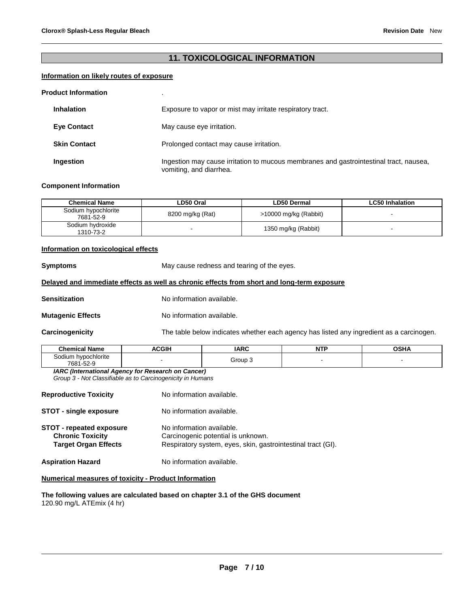# **11. TOXICOLOGICAL INFORMATION**

# **Information on likely routes of exposure**

#### **Product Information** .

| <b>Inhalation</b>   | Exposure to vapor or mist may irritate respiratory tract.                                                         |
|---------------------|-------------------------------------------------------------------------------------------------------------------|
| <b>Eve Contact</b>  | May cause eye irritation.                                                                                         |
| <b>Skin Contact</b> | Prolonged contact may cause irritation.                                                                           |
| Ingestion           | Ingestion may cause irritation to mucous membranes and gastrointestinal tract, nausea,<br>vomiting, and diarrhea. |

# **Component Information**

| <b>Chemical Name</b>             | LD50 Oral        | <b>LD50 Dermal</b>      | <b>LC50 Inhalation</b> |
|----------------------------------|------------------|-------------------------|------------------------|
| Sodium hypochlorite<br>7681-52-9 | 8200 mg/kg (Rat) | $>10000$ mg/kg (Rabbit) |                        |
| Sodium hydroxide<br>1310-73-2    |                  | 1350 mg/kg (Rabbit)     |                        |

# **Information on toxicological effects**

**Symptoms May cause redness and tearing of the eyes.** 

# **Delayed and immediate effects as well as chronic effects from short and long-term exposure**

**Sensitization No information available.** 

**Mutagenic Effects** No information available.

**Carcinogenicity** The table below indicates whether each agency has listed any ingredient as a carcinogen.

| <b>Chemical Name</b>                | <b>ACGIH</b> | <b>IARC</b>    | <b>NTP</b> | OCH<br>. |
|-------------------------------------|--------------|----------------|------------|----------|
| hypochlorite<br>sodium<br>7681-52-9 |              | <b>Group 3</b> |            |          |

*IARC (International Agency for Research on Cancer) Group 3 - Not Classifiable as to Carcinogenicity in Humans* 

| <b>Reproductive Toxicity</b>                                                              | No information available.                                                                                                       |
|-------------------------------------------------------------------------------------------|---------------------------------------------------------------------------------------------------------------------------------|
| <b>STOT - single exposure</b>                                                             | No information available.                                                                                                       |
| <b>STOT - repeated exposure</b><br><b>Chronic Toxicity</b><br><b>Target Organ Effects</b> | No information available.<br>Carcinogenic potential is unknown.<br>Respiratory system, eyes, skin, gastrointestinal tract (GI). |
| <b>Aspiration Hazard</b>                                                                  | No information available.                                                                                                       |

#### **Numerical measures of toxicity - Product Information**

**The following values are calculated based on chapter 3.1 of the GHS document** 120.90 mg/L ATEmix (4 hr)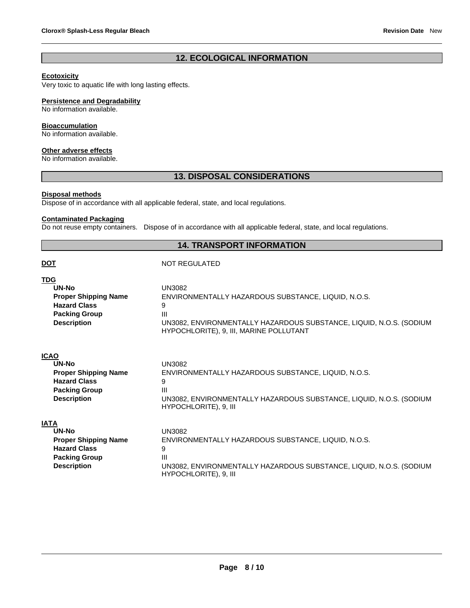# **12. ECOLOGICAL INFORMATION**

# **Ecotoxicity**

Very toxic to aquatic life with long lasting effects.

#### **Persistence and Degradability**

No information available.

# **Bioaccumulation**

No information available.

# **Other adverse effects**

No information available.

# **13. DISPOSAL CONSIDERATIONS**

#### **Disposal methods**

Dispose of in accordance with all applicable federal, state, and local regulations.

# **Contaminated Packaging**

Do not reuse empty containers. Dispose of in accordance with all applicable federal, state, and local regulations.

# **14. TRANSPORT INFORMATION**

# **DOT** NOT REGULATED

| <b>TDG</b>                  | <b>UN3082</b>                                                       |
|-----------------------------|---------------------------------------------------------------------|
| <b>UN-No</b>                | ENVIRONMENTALLY HAZARDOUS SUBSTANCE, LIQUID, N.O.S.                 |
| <b>Proper Shipping Name</b> | 9                                                                   |
| <b>Hazard Class</b>         | Ш                                                                   |
| <b>Packing Group</b>        | UN3082, ENVIRONMENTALLY HAZARDOUS SUBSTANCE, LIQUID, N.O.S. (SODIUM |
| <b>Description</b>          | HYPOCHLORITE), 9, III, MARINE POLLUTANT                             |
| <b>ICAO</b>                 | <b>UN3082</b>                                                       |
| UN-No                       | ENVIRONMENTALLY HAZARDOUS SUBSTANCE, LIQUID, N.O.S.                 |
| <b>Proper Shipping Name</b> | 9                                                                   |
| <b>Hazard Class</b>         | Ш                                                                   |
| <b>Packing Group</b>        | UN3082, ENVIRONMENTALLY HAZARDOUS SUBSTANCE, LIQUID, N.O.S. (SODIUM |
| <b>Description</b>          | HYPOCHLORITE), 9, III                                               |
| <b>IATA</b>                 | <b>UN3082</b>                                                       |
| <b>UN-No</b>                | ENVIRONMENTALLY HAZARDOUS SUBSTANCE, LIQUID, N.O.S.                 |
| <b>Proper Shipping Name</b> | 9                                                                   |
| <b>Hazard Class</b>         | $\mathbf{III}$                                                      |
| <b>Packing Group</b>        | UN3082, ENVIRONMENTALLY HAZARDOUS SUBSTANCE, LIQUID, N.O.S. (SODIUM |
| <b>Description</b>          | HYPOCHLORITE), 9, III                                               |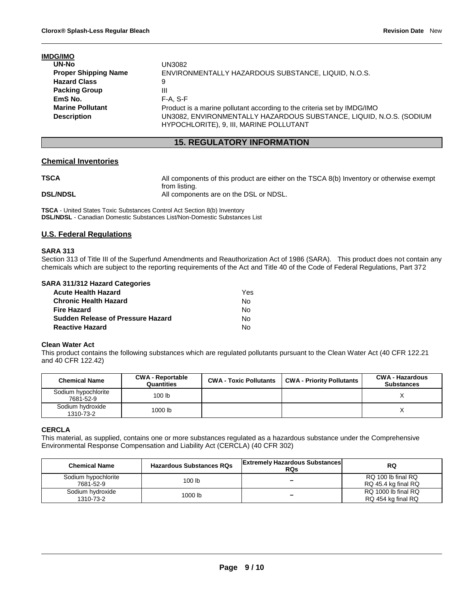| <b>IMDG/IMO</b>             |                                                                                                                |
|-----------------------------|----------------------------------------------------------------------------------------------------------------|
| <b>UN-No</b>                | UN3082                                                                                                         |
| <b>Proper Shipping Name</b> | ENVIRONMENTALLY HAZARDOUS SUBSTANCE, LIQUID, N.O.S.                                                            |
| <b>Hazard Class</b>         | 9                                                                                                              |
| <b>Packing Group</b>        | Ш                                                                                                              |
| EmS No.                     | $F-A. S-F$                                                                                                     |
| <b>Marine Pollutant</b>     | Product is a marine pollutant according to the criteria set by IMDG/IMO                                        |
| <b>Description</b>          | UN3082, ENVIRONMENTALLY HAZARDOUS SUBSTANCE, LIQUID, N.O.S. (SODIUM<br>HYPOCHLORITE), 9, III, MARINE POLLUTANT |

# **15. REGULATORY INFORMATION**

# **Chemical Inventories**

| <b>TSCA</b>     | All components of this product are either on the TSCA 8(b) Inventory or otherwise exempt |
|-----------------|------------------------------------------------------------------------------------------|
| <b>DSL/NDSL</b> | from listing.<br>All components are on the DSL or NDSL.                                  |

**TSCA** - United States Toxic Substances Control Act Section 8(b) Inventory **DSL/NDSL** - Canadian Domestic Substances List/Non-Domestic Substances List

# **U.S. Federal Regulations**

# **SARA 313**

Section 313 of Title III of the Superfund Amendments and Reauthorization Act of 1986 (SARA). This product does not contain any chemicals which are subject to the reporting requirements of the Act and Title 40 of the Code of Federal Regulations, Part 372

# **SARA 311/312 Hazard Categories**

| <b>Acute Health Hazard</b>        | Yes |
|-----------------------------------|-----|
| <b>Chronic Health Hazard</b>      | N٥  |
| <b>Fire Hazard</b>                | No. |
| Sudden Release of Pressure Hazard | N٥  |
| <b>Reactive Hazard</b>            | N٥  |

# **Clean Water Act**

This product contains the following substances which are regulated pollutants pursuant to the Clean Water Act (40 CFR 122.21 and 40 CFR 122.42)

| <b>Chemical Name</b>             | <b>CWA - Reportable</b><br>Quantities | <b>CWA - Toxic Pollutants</b> | <b>CWA - Priority Pollutants</b> | <b>CWA - Hazardous</b><br><b>Substances</b> |
|----------------------------------|---------------------------------------|-------------------------------|----------------------------------|---------------------------------------------|
| Sodium hypochlorite<br>7681-52-9 | 100 <sub>lb</sub>                     |                               |                                  |                                             |
| Sodium hydroxide<br>1310-73-2    | 1000 lb                               |                               |                                  |                                             |

# **CERCLA**

This material, as supplied, contains one or more substances regulated as a hazardous substance under the Comprehensive Environmental Response Compensation and Liability Act (CERCLA) (40 CFR 302)

| <b>Hazardous Substances RQs</b><br><b>Chemical Name</b> |         | <b>Extremely Hazardous Substances</b><br><b>RQs</b> | <b>RQ</b>                                 |  |
|---------------------------------------------------------|---------|-----------------------------------------------------|-------------------------------------------|--|
| Sodium hypochlorite<br>7681-52-9                        | 100 lb  | -                                                   | RQ 100 lb final RQ<br>RQ 45.4 kg final RQ |  |
| Sodium hydroxide<br>1310-73-2                           | 1000 lb | -                                                   | RQ 1000 lb final RQ<br>RQ 454 kg final RQ |  |